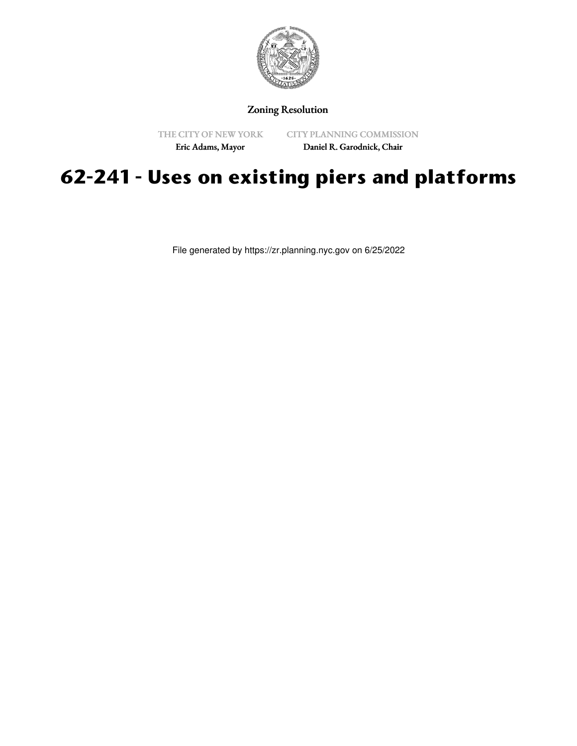

## Zoning Resolution

THE CITY OF NEW YORK

CITY PLANNING COMMISSION

Eric Adams, Mayor

Daniel R. Garodnick, Chair

## **62-241 - Uses on existing piers and platforms**

File generated by https://zr.planning.nyc.gov on 6/25/2022